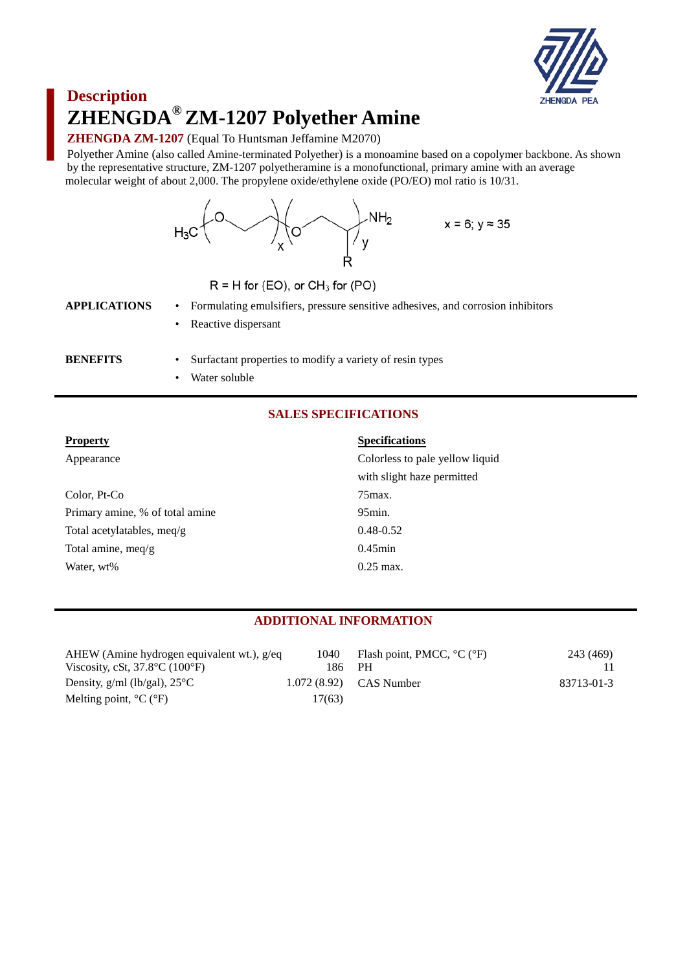

# **Description ZHENGDA® ZM-1207 Polyether Amine**

# **ZHENGDA ZM-1207** (Equal To Huntsman Jeffamine M2070)

Polyether Amine (also called Amine-terminated Polyether) is a monoamine based on a copolymer backbone. As shown by the representative structure, ZM-1207 polyetheramine is a monofunctional, primary amine with an average molecular weight of about 2,000. The propylene oxide/ethylene oxide (PO/EO) mol ratio is 10/31.



 $R = H$  for (EO), or  $CH<sub>3</sub>$  for (PO)

#### **APPLICATIONS** • Formulating emulsifiers, pressure sensitive adhesives, and corrosion inhibitors

• Reactive dispersant

- **BENEFITS** Surfactant properties to modify a variety of resin types
	- Water soluble

# **SALES SPECIFICATIONS**

| <b>Property</b>                 | <b>Specifications</b>           |
|---------------------------------|---------------------------------|
| Appearance                      | Colorless to pale yellow liquid |
|                                 | with slight haze permitted      |
| Color, Pt-Co                    | $75$ max.                       |
| Primary amine, % of total amine | $95$ min.                       |
| Total acetylatables, meq/g      | $0.48 - 0.52$                   |
| Total amine, meq/g              | $0.45$ min                      |
| Water, wt%                      | $0.25$ max.                     |

# **ADDITIONAL INFORMATION**

| AHEW (Amine hydrogen equivalent wt.), $g/eq$<br>Viscosity, cSt, $37.8^{\circ}$ C (100 $^{\circ}$ F) | 1040<br>186 PH | Flash point, PMCC, $^{\circ}C$ ( $^{\circ}F$ ) | 243 (469)  |
|-----------------------------------------------------------------------------------------------------|----------------|------------------------------------------------|------------|
| Density, $g/ml$ (lb/gal), $25^{\circ}C$                                                             |                | $1.072(8.92)$ CAS Number                       | 83713-01-3 |
| Melting point, $^{\circ}C$ ( $^{\circ}F$ )                                                          | 17(63)         |                                                |            |